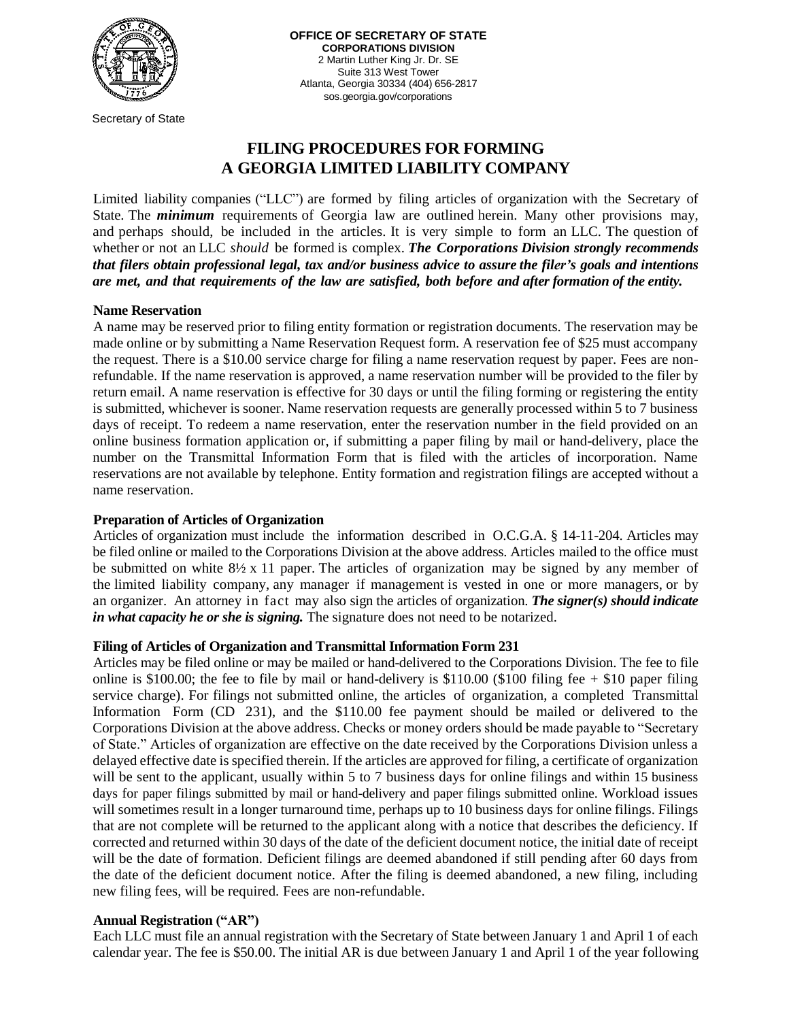

Secretary of State

**OFFICE OF SECRETARY OF STATE CORPORATIONS DIVISION** 2 Martin Luther King Jr. Dr. SE Suite 313 West Tower Atlanta, Georgia 30334 (404) 656-2817 sos.georgia.gov/corporations

# **FILING PROCEDURES FOR FORMING A GEORGIA LIMITED LIABILITY COMPANY**

Limited liability companies ("LLC") are formed by filing articles of organization with the Secretary of State. The *minimum* requirements of Georgia law are outlined herein. Many other provisions may, and perhaps should, be included in the articles. It is very simple to form an LLC. The question of whether or not an LLC *should* be formed is complex. *The Corporations Division strongly recommends that filers obtain professional legal, tax and/or business advice to assure the filer's goals and intentions are met, and that requirements of the law are satisfied, both before and after formation of the entity.*

#### **Name Reservation**

A name may be reserved prior to filing entity formation or registration documents. The reservation may be made online or by submitting a Name Reservation Request form. A reservation fee of \$25 must accompany the request. There is a \$10.00 service charge for filing a name reservation request by paper. Fees are nonrefundable. If the name reservation is approved, a name reservation number will be provided to the filer by return email. A name reservation is effective for 30 days or until the filing forming or registering the entity is submitted, whichever is sooner. Name reservation requests are generally processed within 5 to 7 business days of receipt. To redeem a name reservation, enter the reservation number in the field provided on an online business formation application or, if submitting a paper filing by mail or hand-delivery, place the number on the Transmittal Information Form that is filed with the articles of incorporation. Name reservations are not available by telephone. Entity formation and registration filings are accepted without a name reservation.

## **Preparation of Articles of Organization**

Articles of organization must include the information described in O.C.G.A. § 14-11-204. Articles may be filed online or mailed to the Corporations Division at the above address. Articles mailed to the office must be submitted on white 8½ x 11 paper. The articles of organization may be signed by any member of the limited liability company, any manager if management is vested in one or more managers, or by an organizer. An attorney in fact may also sign the articles of organization. *The signer(s) should indicate in what capacity he or she is signing.* The signature does not need to be notarized.

## **Filing of Articles of Organization and Transmittal Information Form 231**

Articles may be filed online or may be mailed or hand-delivered to the Corporations Division. The fee to file online is \$100.00; the fee to file by mail or hand-delivery is \$110.00 (\$100 filing fee  $+$  \$10 paper filing service charge). For filings not submitted online, the articles of organization, a completed Transmittal Information Form (CD 231), and the \$110.00 fee payment should be mailed or delivered to the Corporations Division at the above address. Checks or money orders should be made payable to "Secretary of State." Articles of organization are effective on the date received by the Corporations Division unless a delayed effective date is specified therein. If the articles are approved for filing, a certificate of organization will be sent to the applicant, usually within 5 to 7 business days for online filings and within 15 business days for paper filings submitted by mail or hand-delivery and paper filings submitted online. Workload issues will sometimes result in a longer turnaround time, perhaps up to 10 business days for online filings. Filings that are not complete will be returned to the applicant along with a notice that describes the deficiency. If corrected and returned within 30 days of the date of the deficient document notice, the initial date of receipt will be the date of formation. Deficient filings are deemed abandoned if still pending after 60 days from the date of the deficient document notice. After the filing is deemed abandoned, a new filing, including new filing fees, will be required. Fees are non-refundable.

## **Annual Registration ("AR")**

Each LLC must file an annual registration with the Secretary of State between January 1 and April 1 of each calendar year. The fee is \$50.00. The initial AR is due between January 1 and April 1 of the year following